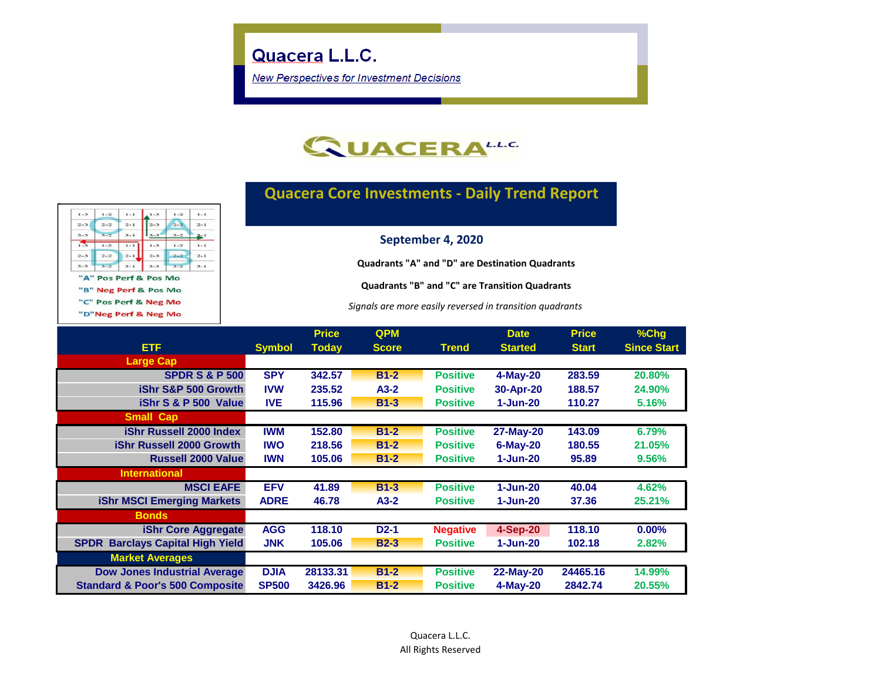**New Perspectives for Investment Decisions** 



## **Quacera Core Investments - Daily Trend Report**

| $1 - 3$ | $1 - 2$ | $1 - 1$ | $1 - 3$ | $1 - 2$ | $1 - 1$ |
|---------|---------|---------|---------|---------|---------|
| $2 - 3$ | $2 - 2$ | $2 - 1$ | $2 - 3$ | $2 - 2$ | $2 - 1$ |
| $3 - 3$ | $3 - 2$ | $3 - 1$ | $3 - 3$ | $3 - 2$ | $3 - 1$ |
| $1 - 3$ | $1 - 2$ | $1 - 1$ | $1 - 3$ | $1 - 2$ | $1 - 1$ |
| $2 - 3$ | $2 - 2$ | $2 - 1$ | $2 - 3$ | $2 - 2$ | $2 - 1$ |
| $3 - 3$ | $3 - 2$ | $3 - 1$ | $3 - 3$ | $3 - 2$ | $3 - 1$ |

"A" Pos Perf & Pos Mo

"B" Neg Perf & Pos Mo

"C" Pos Perf & Neg Mo

"D"Neg Perf & Neg Mo

**September 4, 2020**

**Quadrants "A" and "D" are Destination Quadrants**

**Quadrants "B" and "C" are Transition Quadrants**

*Signals are more easily reversed in transition quadrants*

|                                                   |               | <b>Price</b> | <b>QPM</b>   |                 | <b>Date</b>      | <b>Price</b> | $%$ Chg            |
|---------------------------------------------------|---------------|--------------|--------------|-----------------|------------------|--------------|--------------------|
| ETF.                                              | <b>Symbol</b> | <b>Today</b> | <b>Score</b> | <b>Trend</b>    | <b>Started</b>   | <b>Start</b> | <b>Since Start</b> |
| <b>Large Cap</b>                                  |               |              |              |                 |                  |              |                    |
| <b>SPDR S &amp; P 500</b>                         | <b>SPY</b>    | 342.57       | $B1-2$       | <b>Positive</b> | 4-May-20         | 283.59       | 20.80%             |
| iShr S&P 500 Growth                               | <b>IVW</b>    | 235.52       | $A3-2$       | <b>Positive</b> | 30-Apr-20        | 188.57       | 24.90%             |
| iShr S & P 500 Value                              | <b>IVE</b>    | 115.96       | $B1-3$       | <b>Positive</b> | 1-Jun-20         | 110.27       | 5.16%              |
| <b>Small Cap</b>                                  |               |              |              |                 |                  |              |                    |
| <b>iShr Russell 2000 Index</b>                    | <b>IWM</b>    | 152.80       | $B1-2$       | <b>Positive</b> | 27-May-20        | 143.09       | 6.79%              |
| <b>iShr Russell 2000 Growth</b>                   | <b>IWO</b>    | 218.56       | $B1-2$       | <b>Positive</b> | $6$ -May-20      | 180.55       | 21.05%             |
| <b>Russell 2000 Value</b>                         | <b>IWN</b>    | 105.06       | $B1-2$       | <b>Positive</b> | 1-Jun-20         | 95.89        | 9.56%              |
| <b>International</b>                              |               |              |              |                 |                  |              |                    |
| <b>MSCI EAFE</b>                                  | <b>EFV</b>    | 41.89        | $B1-3$       | <b>Positive</b> | $1 - Jun-20$     | 40.04        | 4.62%              |
| <b>iShr MSCI Emerging Markets</b>                 | <b>ADRE</b>   | 46.78        | $A3-2$       | <b>Positive</b> | 1-Jun-20         | 37.36        | 25.21%             |
| <b>Bonds</b>                                      |               |              |              |                 |                  |              |                    |
| <b>iShr Core Aggregate</b>                        | <b>AGG</b>    | 118.10       | $D2-1$       | <b>Negative</b> | $4-Sep-20$       | 118.10       | 0.00%              |
| <b>Barclays Capital High Yield</b><br><b>SPDR</b> | JNK           | 105.06       | $B2-3$       | <b>Positive</b> | 1-Jun-20         | 102.18       | 2.82%              |
| <b>Market Averages</b>                            |               |              |              |                 |                  |              |                    |
| <b>Dow Jones Industrial Average</b>               | <b>DJIA</b>   | 28133.31     | $B1-2$       | <b>Positive</b> | <b>22-May-20</b> | 24465.16     | 14.99%             |
| <b>Standard &amp; Poor's 500 Composite</b>        | <b>SP500</b>  | 3426.96      | $B1-2$       | <b>Positive</b> | 4-May-20         | 2842.74      | 20.55%             |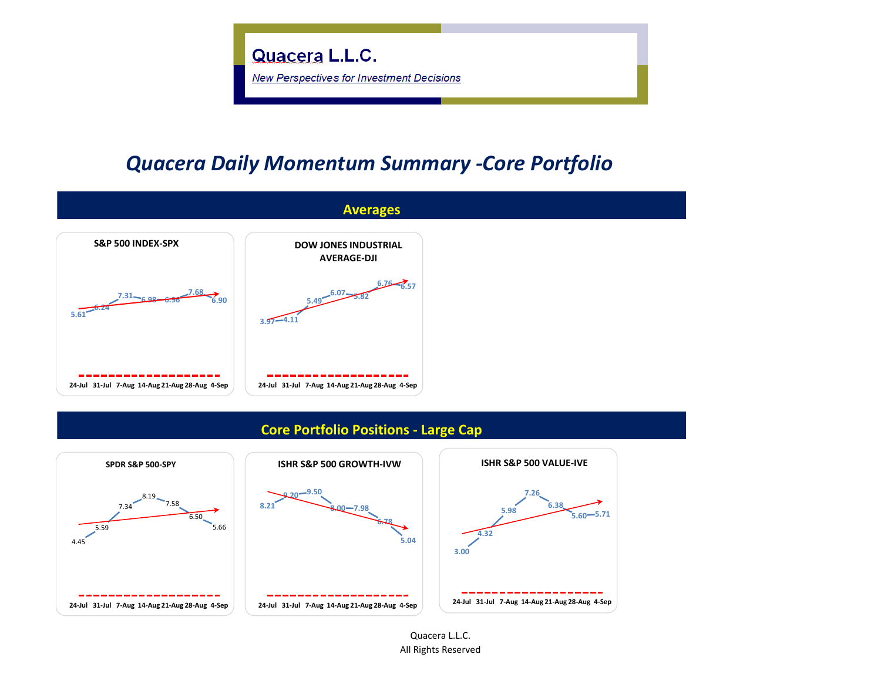

## *Quacera Daily Momentum Summary -Core Portfolio*



**24-Jul 31-Jul 7-Aug 14-Aug 21-Aug 28-Aug 4-Sep**

**24-Jul 31-Jul 7-Aug 14-Aug 21-Aug 28-Aug 4-Sep**

Quacera L.L.C. All Rights Reserved

**24-Jul 31-Jul 7-Aug 14-Aug 21-Aug 28-Aug 4-Sep**